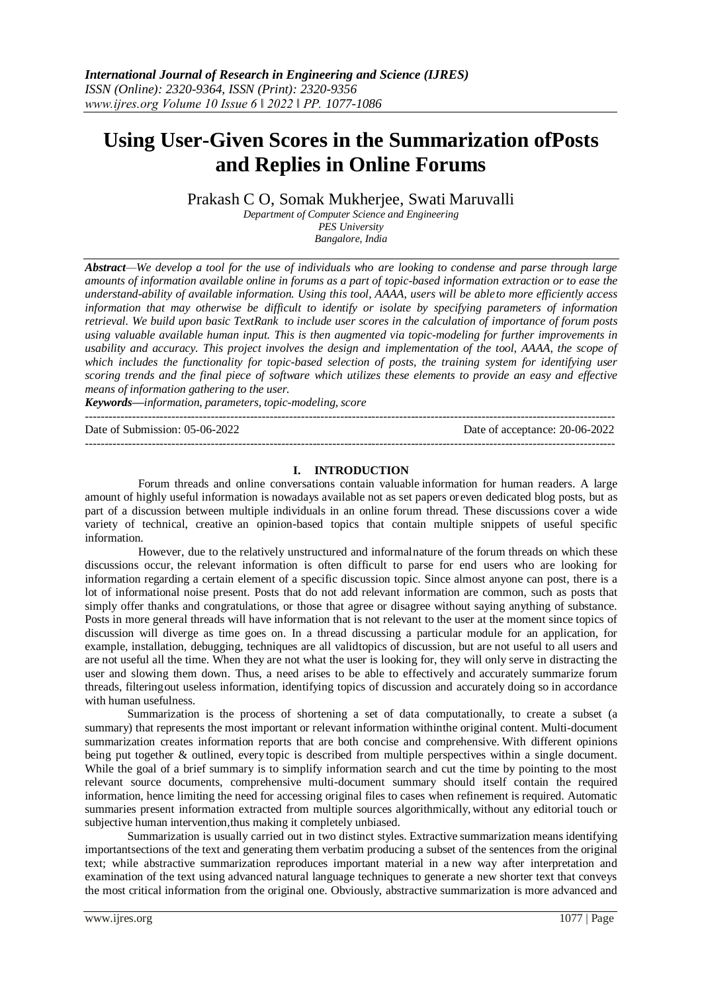# **Using User-Given Scores in the Summarization ofPosts and Replies in Online Forums**

Prakash C O, Somak Mukherjee, Swati Maruvalli

*Department of Computer Science and Engineering PES University Bangalore, India*

*Abstract—We develop a tool for the use of individuals who are looking to condense and parse through large amounts of information available online in forums as a part of topic-based information extraction or to ease the understand-ability of available information. Using this tool, AAAA, users will be ableto more efficiently access information that may otherwise be difficult to identify or isolate by specifying parameters of information retrieval. We build upon basic TextRank to include user scores in the calculation of importance of forum posts using valuable available human input. This is then augmented via topic-modeling for further improvements in usability and accuracy. This project involves the design and implementation of the tool, AAAA, the scope of which includes the functionality for topic-based selection of posts, the training system for identifying user scoring trends and the final piece of software which utilizes these elements to provide an easy and effective means of information gathering to the user.*

*Keywords—information, parameters, topic-modeling, score*

---------------------------------------------------------------------------------------------------------------------------------------

Date of Submission: 05-06-2022 Date of acceptance: 20-06-2022 ---------------------------------------------------------------------------------------------------------------------------------------

#### **I. INTRODUCTION**

Forum threads and online conversations contain valuable information for human readers. A large amount of highly useful information is nowadays available not as set papers or even dedicated blog posts, but as part of a discussion between multiple individuals in an online forum thread. These discussions cover a wide variety of technical, creative an opinion-based topics that contain multiple snippets of useful specific information.

However, due to the relatively unstructured and informalnature of the forum threads on which these discussions occur, the relevant information is often difficult to parse for end users who are looking for information regarding a certain element of a specific discussion topic. Since almost anyone can post, there is a lot of informational noise present. Posts that do not add relevant information are common, such as posts that simply offer thanks and congratulations, or those that agree or disagree without saying anything of substance. Posts in more general threads will have information that is not relevant to the user at the moment since topics of discussion will diverge as time goes on. In a thread discussing a particular module for an application, for example, installation, debugging, techniques are all validtopics of discussion, but are not useful to all users and are not useful all the time. When they are not what the user is looking for, they will only serve in distracting the user and slowing them down. Thus, a need arises to be able to effectively and accurately summarize forum threads, filteringout useless information, identifying topics of discussion and accurately doing so in accordance with human usefulness.

Summarization is the process of shortening a set of data computationally, to create a subset (a [summary\)](https://en.wikipedia.org/wiki/Abstract_(summary)) that represents the most important or relevant information withinthe original content. Multi[-document](https://en.wikipedia.org/wiki/Document_summarization)  [summarization](https://en.wikipedia.org/wiki/Document_summarization) creates information reports that are both concise and comprehensive. With different opinions being put together & outlined, every topic is described from multiple perspectives within a single document. While the goal of a brief summary is to simplify information search and cut the time by pointing to the most relevant source documents, comprehensive multi-document summary should itself contain the required information, hence limiting the need for accessing original files to cases when refinement is required. Automatic summaries present information extracted from multiple sources algorithmically, without any editorial touch or subjective human intervention,thus making it completely unbiased.

Summarization is usually carried out in two distinct styles. Extractive summarization means identifying importantsections of the text and generating them verbatim producing a subset of the sentences from the original text; while abstractive summarization reproduces important material in a new way after interpretation and examination of the text using advanced natural language techniques to generate a new shorter text that conveys the most critical information from the original one. Obviously, abstractive summarization is more advanced and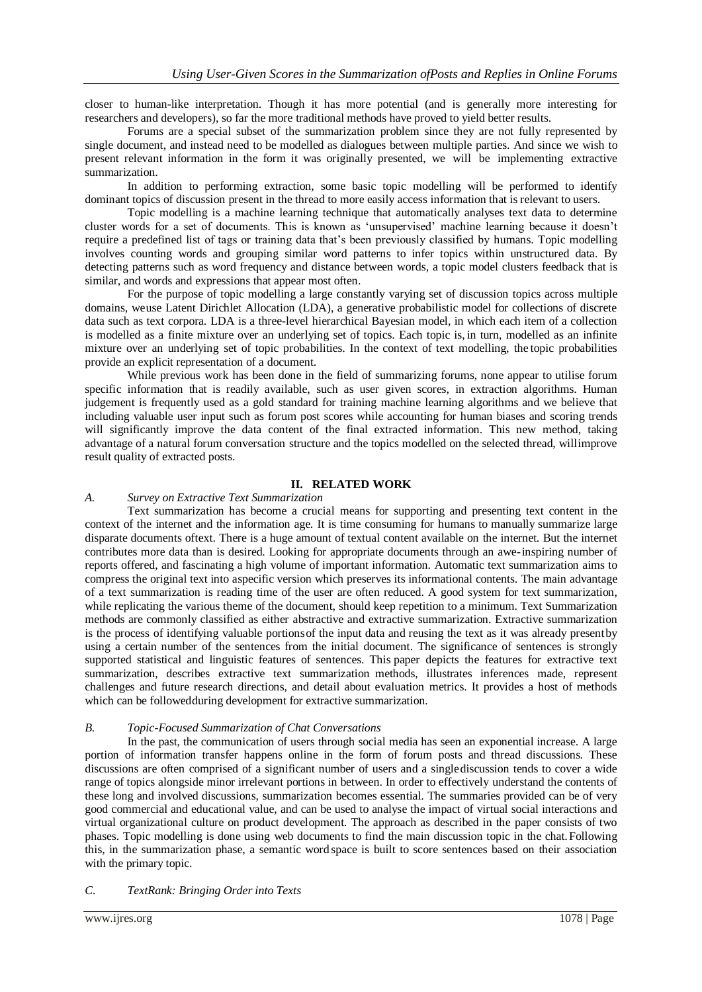closer to human-like interpretation. Though it has more potential (and is generally more interesting for researchers and developers), so far the more traditional methods have proved to yield better results.

Forums are a special subset of the summarization problem since they are not fully represented by single document, and instead need to be modelled as dialogues between multiple parties. And since we wish to present relevant information in the form it was originally presented, we will be implementing extractive summarization.

In addition to performing extraction, some basic topic modelling will be performed to identify dominant topics of discussion present in the thread to more easily access information that is relevant to users.

Topic modelling is a machine learning technique that automatically analyses text data to determine cluster words for a set of documents. This is known as 'unsupervised' machine learning because it doesn't require a predefined list of tags or training data that's been previously classified by humans. Topic modelling involves counting words and grouping similar word patterns to infer topics within unstructured data. By detecting patterns such as word frequency and distance between words, a topic model clusters feedback that is similar, and words and expressions that appear most often.

For the purpose of topic modelling a large constantly varying set of discussion topics across multiple domains, weuse Latent Dirichlet Allocation (LDA), a generative probabilistic model for collections of discrete data such as text corpora. LDA is a three-level hierarchical Bayesian model, in which each item of a collection is modelled as a finite mixture over an underlying set of topics. Each topic is, in turn, modelled as an infinite mixture over an underlying set of topic probabilities. In the context of text modelling, the topic probabilities provide an explicit representation of a document.

While previous work has been done in the field of summarizing forums, none appear to utilise forum specific information that is readily available, such as user given scores, in extraction algorithms. Human judgement is frequently used as a gold standard for training machine learning algorithms and we believe that including valuable user input such as forum post scores while accounting for human biases and scoring trends will significantly improve the data content of the final extracted information. This new method, taking advantage of a natural forum conversation structure and the topics modelled on the selected thread, willimprove result quality of extracted posts.

## **II. RELATED WORK**

## *A. Survey on Extractive Text Summarization*

Text summarization has become a crucial means for supporting and presenting text content in the context of the internet and the information age. It is time consuming for humans to manually summarize large disparate documents oftext. There is a huge amount of textual content available on the internet. But the internet contributes more data than is desired. Looking for appropriate documents through an awe-inspiring number of reports offered, and fascinating a high volume of important information. Automatic text summarization aims to compress the original text into aspecific version which preserves its informational contents. The main advantage of a text summarization is reading time of the user are often reduced. A good system for text summarization, while replicating the various theme of the document, should keep repetition to a minimum. Text Summarization methods are commonly classified as either abstractive and extractive summarization. Extractive summarization is the process of identifying valuable portionsof the input data and reusing the text as it was already presentby using a certain number of the sentences from the initial document. The significance of sentences is strongly supported statistical and linguistic features of sentences. This paper depicts the features for extractive text summarization, describes extractive text summarization methods, illustrates inferences made, represent challenges and future research directions, and detail about evaluation metrics. It provides a host of methods which can be followedduring development for extractive summarization.

#### *B. Topic-Focused Summarization of Chat Conversations*

In the past, the communication of users through social media has seen an exponential increase. A large portion of information transfer happens online in the form of forum posts and thread discussions. These discussions are often comprised of a significant number of users and a singlediscussion tends to cover a wide range of topics alongside minor irrelevant portions in between. In order to effectively understand the contents of these long and involved discussions, summarization becomes essential. The summaries provided can be of very good commercial and educational value, and can be used to analyse the impact of virtual social interactions and virtual organizational culture on product development. The approach as described in the paper consists of two phases. Topic modelling is done using web documents to find the main discussion topic in the chat.Following this, in the summarization phase, a semantic word space is built to score sentences based on their association with the primary topic.

## *C. TextRank: Bringing Order into Texts*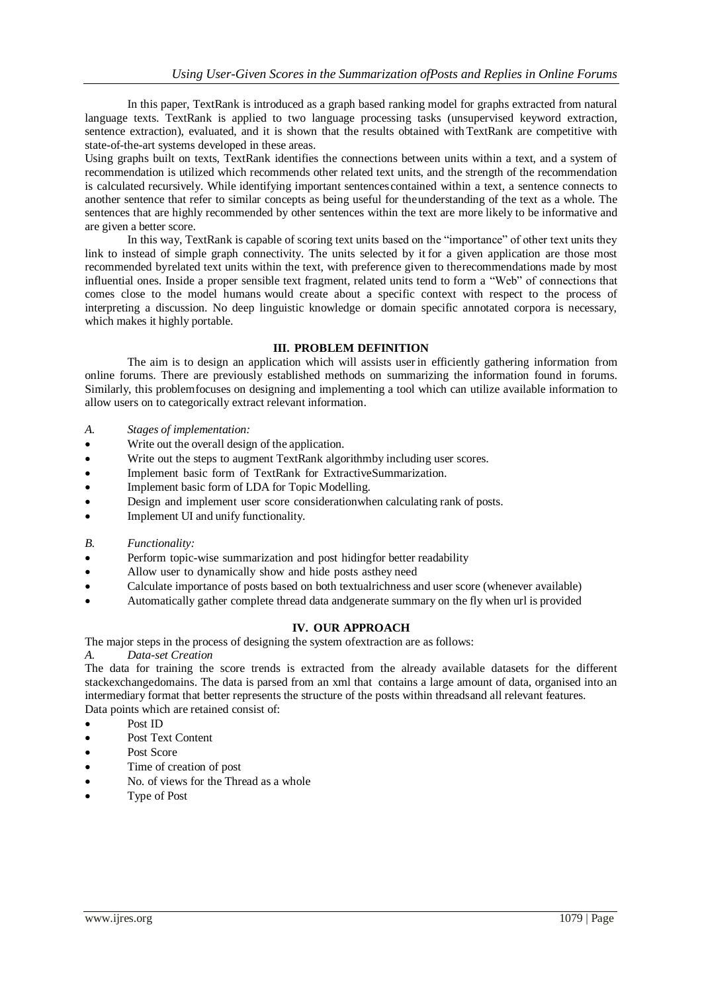In this paper, TextRank is introduced as a graph based ranking model for graphs extracted from natural language texts. TextRank is applied to two language processing tasks (unsupervised keyword extraction, sentence extraction), evaluated, and it is shown that the results obtained with TextRank are competitive with state-of-the-art systems developed in these areas.

Using graphs built on texts, TextRank identifies the connections between units within a text, and a system of recommendation is utilized which recommends other related text units, and the strength of the recommendation is calculated recursively. While identifying important sentences contained within a text, a sentence connects to another sentence that refer to similar concepts as being useful for theunderstanding of the text as a whole. The sentences that are highly recommended by other sentences within the text are more likely to be informative and are given a better score.

In this way, TextRank is capable of scoring text units based on the "importance" of other text units they link to instead of simple graph connectivity. The units selected by it for a given application are those most recommended byrelated text units within the text, with preference given to therecommendations made by most influential ones. Inside a proper sensible text fragment, related units tend to form a "Web" of connections that comes close to the model humans would create about a specific context with respect to the process of interpreting a discussion. No deep linguistic knowledge or domain specific annotated corpora is necessary, which makes it highly portable.

## **III. PROBLEM DEFINITION**

The aim is to design an application which will assists user in efficiently gathering information from online forums. There are previously established methods on summarizing the information found in forums. Similarly, this problemfocuses on designing and implementing a tool which can utilize available information to allow users on to categorically extract relevant information.

- *A. Stages of implementation:*
- Write out the overall design of the application.
- Write out the steps to augment TextRank algorithmby including user scores.
- Implement basic form of TextRank for ExtractiveSummarization.
- Implement basic form of LDA for Topic Modelling.
- Design and implement user score considerationwhen calculating rank of posts.
- Implement UI and unify functionality.
- *B. Functionality:*
- Perform topic-wise summarization and post hidingfor better readability
- Allow user to dynamically show and hide posts asthey need
- Calculate importance of posts based on both textualrichness and user score (whenever available)
- Automatically gather complete thread data andgenerate summary on the fly when url is provided

#### **IV. OUR APPROACH**

The major steps in the process of designing the system ofextraction are as follows:

*A. Data-set Creation*

The data for training the score trends is extracted from the already available datasets for the different stackexchangedomains. The data is parsed from an xml that contains a large amount of data, organised into an intermediary format that better represents the structure of the posts within threadsand all relevant features. Data points which are retained consist of:

- Post ID
- Post Text Content
- Post Score
- Time of creation of post
- No. of views for the Thread as a whole
- Type of Post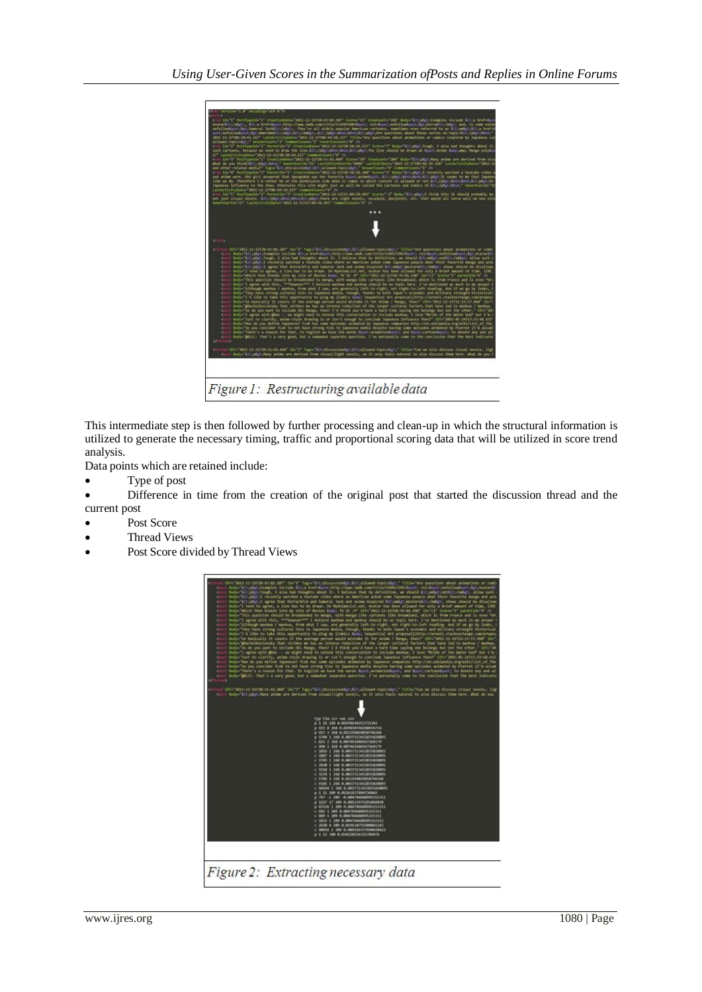

This intermediate step is then followed by further processing and clean-up in which the structural information is utilized to generate the necessary timing, traffic and proportional scoring data that will be utilized in score trend analysis.

Data points which are retained include:

Type of post

 Difference in time from the creation of the original post that started the discussion thread and the current post

- Post Score
- Thread Views
- Post Score divided by Thread Views

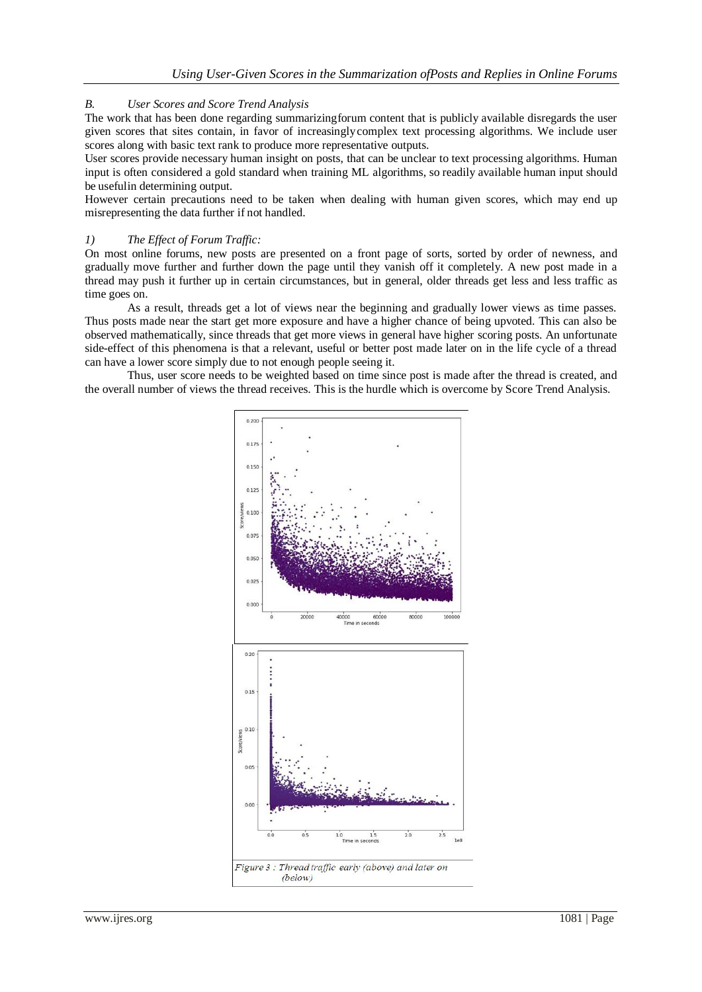## *B. User Scores and Score Trend Analysis*

The work that has been done regarding summarizingforum content that is publicly available disregards the user given scores that sites contain, in favor of increasinglycomplex text processing algorithms. We include user scores along with basic text rank to produce more representative outputs.

User scores provide necessary human insight on posts, that can be unclear to text processing algorithms. Human input is often considered a gold standard when training ML algorithms, so readily available human input should be usefulin determining output.

However certain precautions need to be taken when dealing with human given scores, which may end up misrepresenting the data further if not handled.

#### *1) The Effect of Forum Traffic:*

On most online forums, new posts are presented on a front page of sorts, sorted by order of newness, and gradually move further and further down the page until they vanish off it completely. A new post made in a thread may push it further up in certain circumstances, but in general, older threads get less and less traffic as time goes on.

As a result, threads get a lot of views near the beginning and gradually lower views as time passes. Thus posts made near the start get more exposure and have a higher chance of being upvoted. This can also be observed mathematically, since threads that get more views in general have higher scoring posts. An unfortunate side-effect of this phenomena is that a relevant, useful or better post made later on in the life cycle of a thread can have a lower score simply due to not enough people seeing it.

Thus, user score needs to be weighted based on time since post is made after the thread is created, and the overall number of views the thread receives. This is the hurdle which is overcome by Score Trend Analysis.

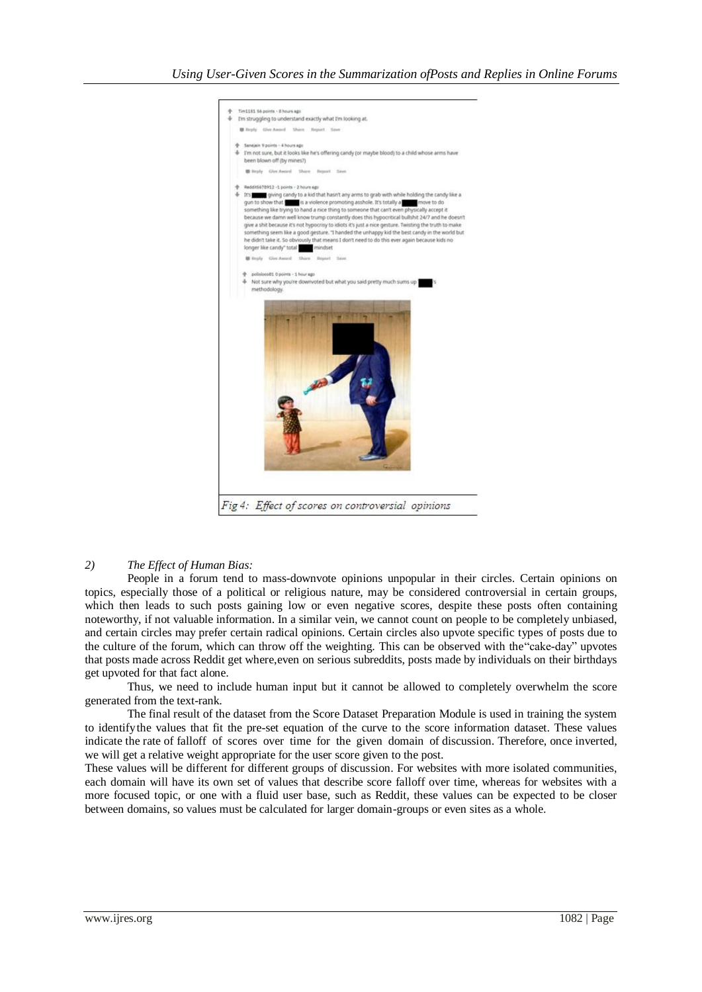

#### *2) The Effect of Human Bias:*

People in a forum tend to mass-downvote opinions unpopular in their circles. Certain opinions on topics, especially those of a political or religious nature, may be considered controversial in certain groups, which then leads to such posts gaining low or even negative scores, despite these posts often containing noteworthy, if not valuable information. In a similar vein, we cannot count on people to be completely unbiased, and certain circles may prefer certain radical opinions. Certain circles also upvote specific types of posts due to the culture of the forum, which can throw off the weighting. This can be observed with the"cake-day" upvotes that posts made across Reddit get where,even on serious subreddits, posts made by individuals on their birthdays get upvoted for that fact alone.

Thus, we need to include human input but it cannot be allowed to completely overwhelm the score generated from the text-rank.

The final result of the dataset from the Score Dataset Preparation Module is used in training the system to identifythe values that fit the pre-set equation of the curve to the score information dataset. These values indicate the rate of falloff of scores over time for the given domain of discussion. Therefore, once inverted, we will get a relative weight appropriate for the user score given to the post.

These values will be different for different groups of discussion. For websites with more isolated communities, each domain will have its own set of values that describe score falloff over time, whereas for websites with a more focused topic, or one with a fluid user base, such as Reddit, these values can be expected to be closer between domains, so values must be calculated for larger domain-groups or even sites as a whole.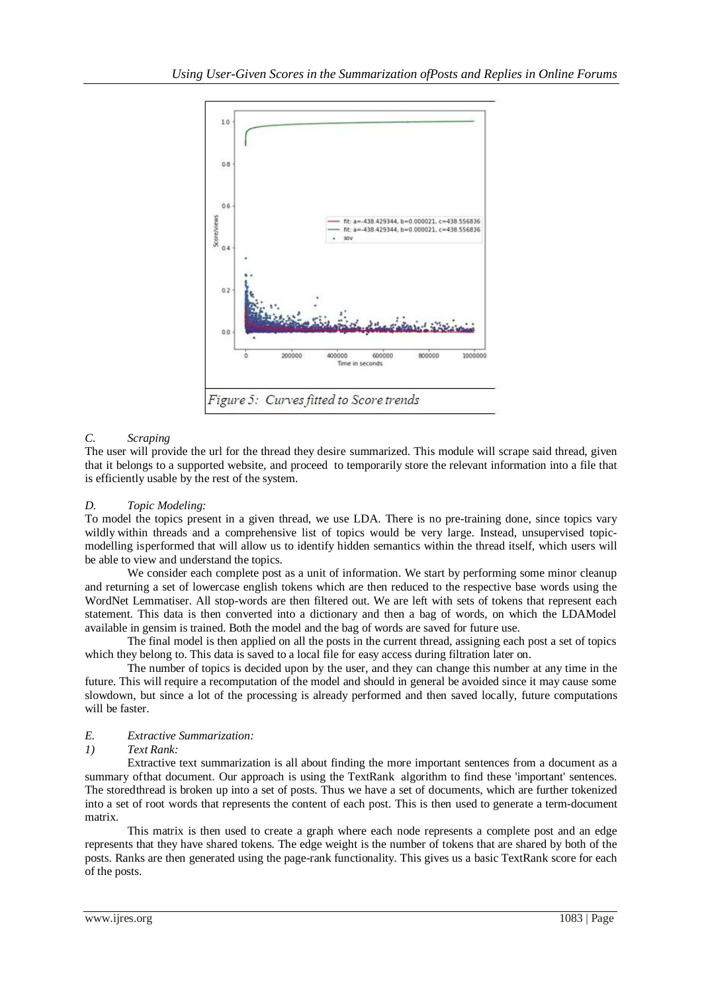

# *C. Scraping*

The user will provide the url for the thread they desire summarized. This module will scrape said thread, given that it belongs to a supported website, and proceed to temporarily store the relevant information into a file that is efficiently usable by the rest of the system.

## *D. Topic Modeling:*

To model the topics present in a given thread, we use LDA. There is no pre-training done, since topics vary wildly within threads and a comprehensive list of topics would be very large. Instead, unsupervised topicmodelling isperformed that will allow us to identify hidden semantics within the thread itself, which users will be able to view and understand the topics.

We consider each complete post as a unit of information. We start by performing some minor cleanup and returning a set of lowercase english tokens which are then reduced to the respective base words using the WordNet Lemmatiser. All stop-words are then filtered out. We are left with sets of tokens that represent each statement. This data is then converted into a dictionary and then a bag of words, on which the LDAModel available in gensim is trained. Both the model and the bag of words are saved for future use.

The final model is then applied on all the posts in the current thread, assigning each post a set of topics which they belong to. This data is saved to a local file for easy access during filtration later on.

The number of topics is decided upon by the user, and they can change this number at any time in the future. This will require a recomputation of the model and should in general be avoided since it may cause some slowdown, but since a lot of the processing is already performed and then saved locally, future computations will be faster.

## *E. Extractive Summarization:*

#### *1) Text Rank:*

Extractive text summarization is all about finding the more important sentences from a document as a summary ofthat document. Our approach is using the TextRank algorithm to find these 'important' sentences. The storedthread is broken up into a set of posts. Thus we have a set of documents, which are further tokenized into a set of root words that represents the content of each post. This is then used to generate a term-document matrix.

This matrix is then used to create a graph where each node represents a complete post and an edge represents that they have shared tokens. The edge weight is the number of tokens that are shared by both of the posts. Ranks are then generated using the page-rank functionality. This gives us a basic TextRank score for each of the posts.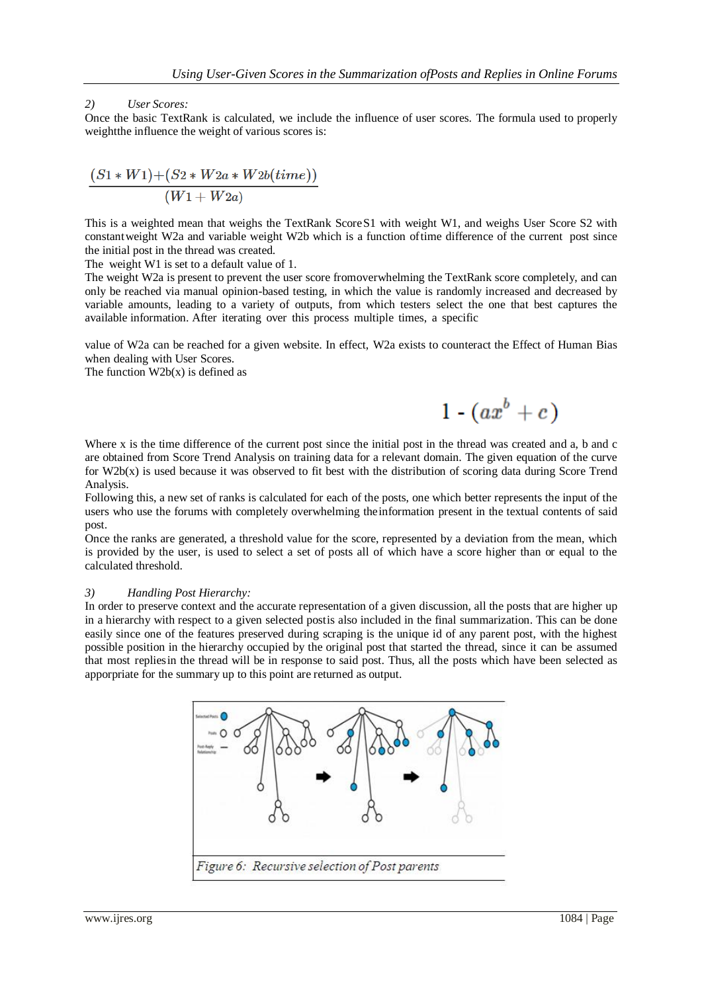## *2) User Scores:*

Once the basic TextRank is calculated, we include the influence of user scores. The formula used to properly weightthe influence the weight of various scores is:

$$
\frac{(S1*W1)+(S2*W2a*W2b(time))}{(W1+W2a)}
$$

This is a weighted mean that weighs the TextRank Score S1 with weight W1, and weighs User Score S2 with constantweight W2a and variable weight W2b which is a function oftime difference of the current post since the initial post in the thread was created.

The weight W1 is set to a default value of 1.

The weight W2a is present to prevent the user score fromoverwhelming the TextRank score completely, and can only be reached via manual opinion-based testing, in which the value is randomly increased and decreased by variable amounts, leading to a variety of outputs, from which testers select the one that best captures the available information. After iterating over this process multiple times, a specific

value of W2a can be reached for a given website. In effect, W2a exists to counteract the Effect of Human Bias when dealing with User Scores.

The function  $W2b(x)$  is defined as

 $1 - (ax^b + c)$ 

Where x is the time difference of the current post since the initial post in the thread was created and a, b and c are obtained from Score Trend Analysis on training data for a relevant domain. The given equation of the curve for W2b(x) is used because it was observed to fit best with the distribution of scoring data during Score Trend Analysis.

Following this, a new set of ranks is calculated for each of the posts, one which better represents the input of the users who use the forums with completely overwhelming theinformation present in the textual contents of said post.

Once the ranks are generated, a threshold value for the score, represented by a deviation from the mean, which is provided by the user, is used to select a set of posts all of which have a score higher than or equal to the calculated threshold.

#### *3) Handling Post Hierarchy:*

In order to preserve context and the accurate representation of a given discussion, all the posts that are higher up in a hierarchy with respect to a given selected postis also included in the final summarization. This can be done easily since one of the features preserved during scraping is the unique id of any parent post, with the highest possible position in the hierarchy occupied by the original post that started the thread, since it can be assumed that most repliesin the thread will be in response to said post. Thus, all the posts which have been selected as apporpriate for the summary up to this point are returned as output.

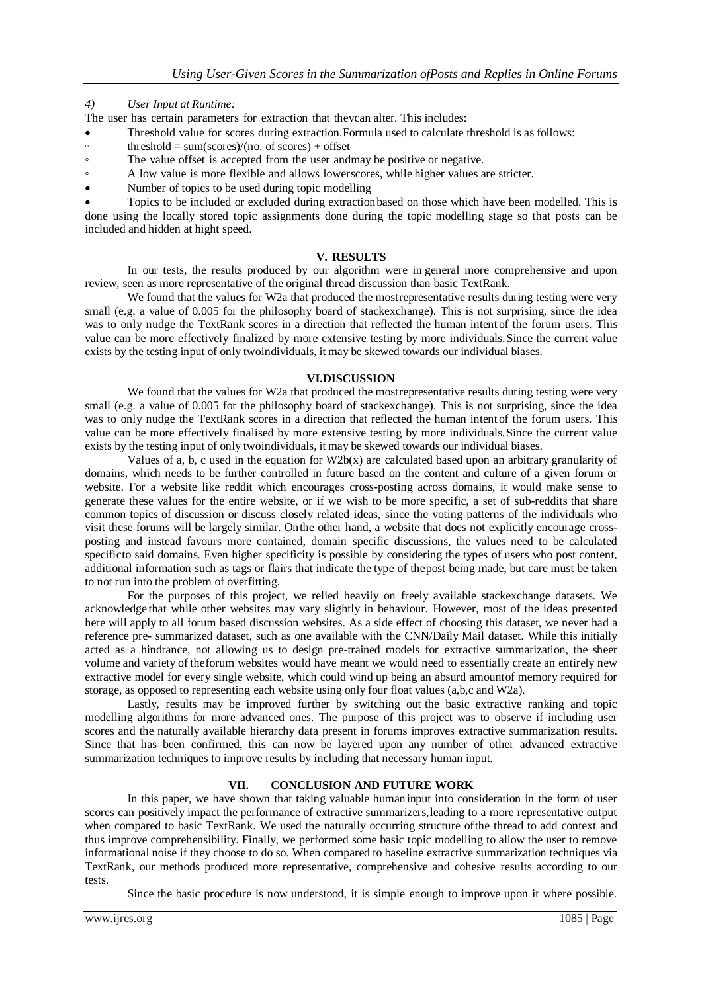## *4) User Input at Runtime:*

- The user has certain parameters for extraction that theycan alter. This includes:
- Threshold value for scores during extraction.Formula used to calculate threshold is as follows:
- $\circ$  threshold = sum(scores)/(no. of scores) + offset
- The value offset is accepted from the user and any be positive or negative.
- A low value is more flexible and allows lowerscores, while higher values are stricter.
- Number of topics to be used during topic modelling

 Topics to be included or excluded during extractionbased on those which have been modelled. This is done using the locally stored topic assignments done during the topic modelling stage so that posts can be included and hidden at hight speed.

## **V. RESULTS**

In our tests, the results produced by our algorithm were in general more comprehensive and upon review, seen as more representative of the original thread discussion than basic TextRank.

We found that the values for W2a that produced the mostrepresentative results during testing were very small (e.g. a value of 0.005 for the philosophy board of stackexchange). This is not surprising, since the idea was to only nudge the TextRank scores in a direction that reflected the human intent of the forum users. This value can be more effectively finalized by more extensive testing by more individuals.Since the current value exists by the testing input of only twoindividuals, it may be skewed towards our individual biases.

#### **VI.DISCUSSION**

We found that the values for W2a that produced the mostrepresentative results during testing were very small (e.g. a value of 0.005 for the philosophy board of stackexchange). This is not surprising, since the idea was to only nudge the TextRank scores in a direction that reflected the human intent of the forum users. This value can be more effectively finalised by more extensive testing by more individuals.Since the current value exists by the testing input of only twoindividuals, it may be skewed towards our individual biases.

Values of a, b, c used in the equation for  $W2b(x)$  are calculated based upon an arbitrary granularity of domains, which needs to be further controlled in future based on the content and culture of a given forum or website. For a website like reddit which encourages cross-posting across domains, it would make sense to generate these values for the entire website, or if we wish to be more specific, a set of sub-reddits that share common topics of discussion or discuss closely related ideas, since the voting patterns of the individuals who visit these forums will be largely similar. Onthe other hand, a website that does not explicitly encourage crossposting and instead favours more contained, domain specific discussions, the values need to be calculated specificto said domains. Even higher specificity is possible by considering the types of users who post content, additional information such as tags or flairs that indicate the type of thepost being made, but care must be taken to not run into the problem of overfitting.

For the purposes of this project, we relied heavily on freely available stackexchange datasets. We acknowledge that while other websites may vary slightly in behaviour. However, most of the ideas presented here will apply to all forum based discussion websites. As a side effect of choosing this dataset, we never had a reference pre- summarized dataset, such as one available with the CNN/Daily Mail dataset. While this initially acted as a hindrance, not allowing us to design pre-trained models for extractive summarization, the sheer volume and variety of theforum websites would have meant we would need to essentially create an entirely new extractive model for every single website, which could wind up being an absurd amountof memory required for storage, as opposed to representing each website using only four float values (a,b,c and W2a).

Lastly, results may be improved further by switching out the basic extractive ranking and topic modelling algorithms for more advanced ones. The purpose of this project was to observe if including user scores and the naturally available hierarchy data present in forums improves extractive summarization results. Since that has been confirmed, this can now be layered upon any number of other advanced extractive summarization techniques to improve results by including that necessary human input.

## **VII. CONCLUSION AND FUTURE WORK**

In this paper, we have shown that taking valuable human input into consideration in the form of user scores can positively impact the performance of extractive summarizers,leading to a more representative output when compared to basic TextRank. We used the naturally occurring structure ofthe thread to add context and thus improve comprehensibility. Finally, we performed some basic topic modelling to allow the user to remove informational noise if they choose to do so. When compared to baseline extractive summarization techniques via TextRank, our methods produced more representative, comprehensive and cohesive results according to our tests.

Since the basic procedure is now understood, it is simple enough to improve upon it where possible.